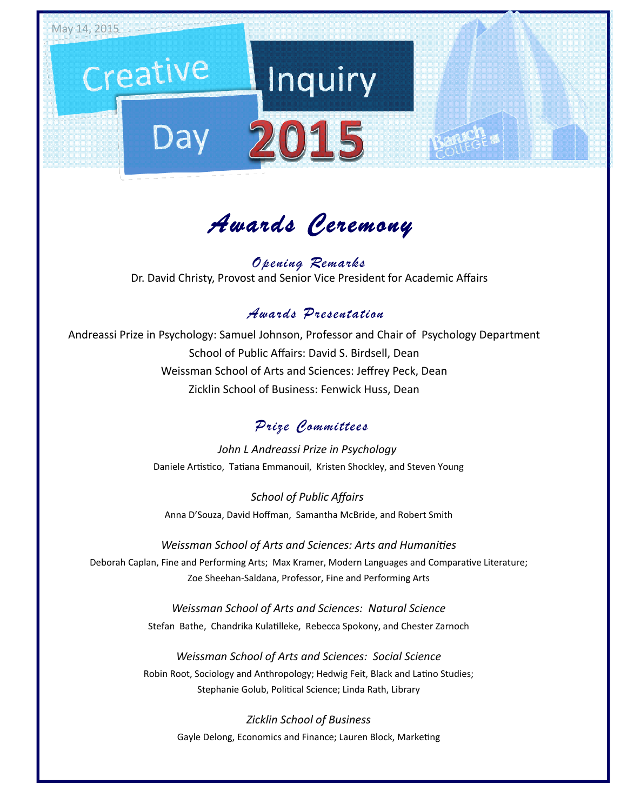

*Awards Ceremony*

Dr. David Christy, Provost and Senior Vice President for Academic Affairs *Opening Remarks*

#### *Awards Presentation*

Andreassi Prize in Psychology: Samuel Johnson, Professor and Chair of Psychology Department School of Public Affairs: David S. Birdsell, Dean Weissman School of Arts and Sciences: Jeffrey Peck, Dean Zicklin School of Business: Fenwick Huss, Dean

#### *Prize Committees*

*John L Andreassi Prize in Psychology*  Daniele Artistico, Tatiana Emmanouil, Kristen Shockley, and Steven Young

*School of Public Affairs*  Anna D'Souza, David Hoffman, Samantha McBride, and Robert Smith

*Weissman School of Arts and Sciences: Arts and Humanities* Deborah Caplan, Fine and Performing Arts; Max Kramer, Modern Languages and Comparative Literature; Zoe Sheehan‐Saldana, Professor, Fine and Performing Arts

> *Weissman School of Arts and Sciences: Natural Science* Stefan Bathe, Chandrika Kulatilleke, Rebecca Spokony, and Chester Zarnoch

*Weissman School of Arts and Sciences: Social Science* Robin Root, Sociology and Anthropology; Hedwig Feit, Black and Latino Studies; Stephanie Golub, Political Science; Linda Rath, Library

*Zicklin School of Business* Gayle Delong, Economics and Finance; Lauren Block, Marketing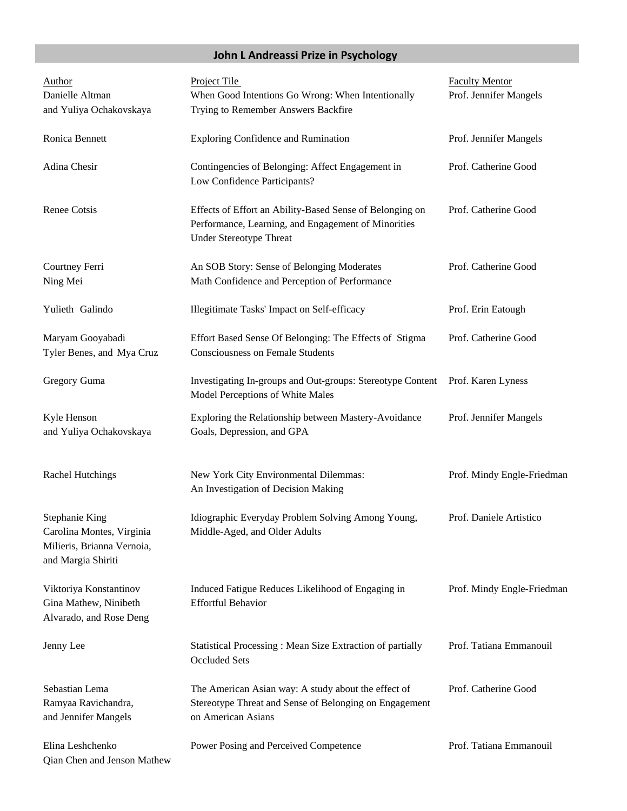### **John L Andreassi Prize in Psychology**

| <b>Author</b><br>Danielle Altman<br>and Yuliya Ochakovskaya                                     | Project Tile<br>When Good Intentions Go Wrong: When Intentionally<br>Trying to Remember Answers Backfire                                          | <b>Faculty Mentor</b><br>Prof. Jennifer Mangels |
|-------------------------------------------------------------------------------------------------|---------------------------------------------------------------------------------------------------------------------------------------------------|-------------------------------------------------|
| Ronica Bennett                                                                                  | <b>Exploring Confidence and Rumination</b>                                                                                                        | Prof. Jennifer Mangels                          |
| Adina Chesir                                                                                    | Contingencies of Belonging: Affect Engagement in<br>Low Confidence Participants?                                                                  | Prof. Catherine Good                            |
| Renee Cotsis                                                                                    | Effects of Effort an Ability-Based Sense of Belonging on<br>Performance, Learning, and Engagement of Minorities<br><b>Under Stereotype Threat</b> | Prof. Catherine Good                            |
| Courtney Ferri<br>Ning Mei                                                                      | An SOB Story: Sense of Belonging Moderates<br>Math Confidence and Perception of Performance                                                       | Prof. Catherine Good                            |
| Yulieth Galindo                                                                                 | Illegitimate Tasks' Impact on Self-efficacy                                                                                                       | Prof. Erin Eatough                              |
| Maryam Gooyabadi<br>Tyler Benes, and Mya Cruz                                                   | Effort Based Sense Of Belonging: The Effects of Stigma<br><b>Consciousness on Female Students</b>                                                 | Prof. Catherine Good                            |
| Gregory Guma                                                                                    | Investigating In-groups and Out-groups: Stereotype Content<br>Model Perceptions of White Males                                                    | Prof. Karen Lyness                              |
| Kyle Henson<br>and Yuliya Ochakovskaya                                                          | Exploring the Relationship between Mastery-Avoidance<br>Goals, Depression, and GPA                                                                | Prof. Jennifer Mangels                          |
| <b>Rachel Hutchings</b>                                                                         | New York City Environmental Dilemmas:<br>An Investigation of Decision Making                                                                      | Prof. Mindy Engle-Friedman                      |
| Stephanie King<br>Carolina Montes, Virginia<br>Milieris, Brianna Vernoia,<br>and Margia Shiriti | Idiographic Everyday Problem Solving Among Young,<br>Middle-Aged, and Older Adults                                                                | Prof. Daniele Artistico                         |
| Viktoriya Konstantinov<br>Gina Mathew, Ninibeth<br>Alvarado, and Rose Deng                      | Induced Fatigue Reduces Likelihood of Engaging in<br><b>Effortful Behavior</b>                                                                    | Prof. Mindy Engle-Friedman                      |
| Jenny Lee                                                                                       | Statistical Processing: Mean Size Extraction of partially<br><b>Occluded Sets</b>                                                                 | Prof. Tatiana Emmanouil                         |
| Sebastian Lema<br>Ramyaa Ravichandra,<br>and Jennifer Mangels                                   | The American Asian way: A study about the effect of<br>Stereotype Threat and Sense of Belonging on Engagement<br>on American Asians               | Prof. Catherine Good                            |
| Elina Leshchenko<br>Qian Chen and Jenson Mathew                                                 | Power Posing and Perceived Competence                                                                                                             | Prof. Tatiana Emmanouil                         |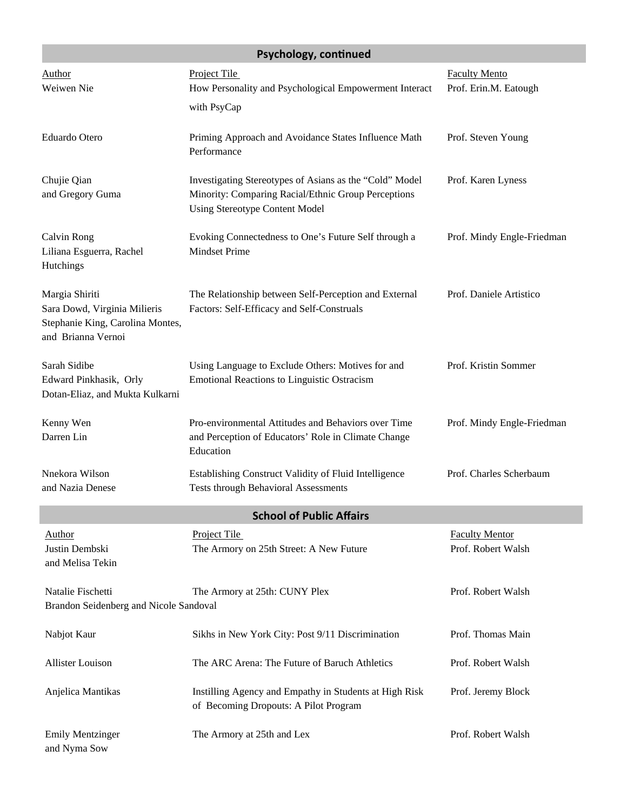| Psychology, continued                                                                                    |                                                                                                                                                         |                                               |
|----------------------------------------------------------------------------------------------------------|---------------------------------------------------------------------------------------------------------------------------------------------------------|-----------------------------------------------|
| Author<br>Weiwen Nie                                                                                     | Project Tile<br>How Personality and Psychological Empowerment Interact<br>with PsyCap                                                                   | <b>Faculty Mento</b><br>Prof. Erin.M. Eatough |
| Eduardo Otero                                                                                            | Priming Approach and Avoidance States Influence Math<br>Performance                                                                                     | Prof. Steven Young                            |
| Chujie Qian<br>and Gregory Guma                                                                          | Investigating Stereotypes of Asians as the "Cold" Model<br>Minority: Comparing Racial/Ethnic Group Perceptions<br><b>Using Stereotype Content Model</b> | Prof. Karen Lyness                            |
| Calvin Rong<br>Liliana Esguerra, Rachel<br>Hutchings                                                     | Evoking Connectedness to One's Future Self through a<br><b>Mindset Prime</b>                                                                            | Prof. Mindy Engle-Friedman                    |
| Margia Shiriti<br>Sara Dowd, Virginia Milieris<br>Stephanie King, Carolina Montes,<br>and Brianna Vernoi | The Relationship between Self-Perception and External<br>Factors: Self-Efficacy and Self-Construals                                                     | Prof. Daniele Artistico                       |
| Sarah Sidibe<br>Edward Pinkhasik, Orly<br>Dotan-Eliaz, and Mukta Kulkarni                                | Using Language to Exclude Others: Motives for and<br>Emotional Reactions to Linguistic Ostracism                                                        | Prof. Kristin Sommer                          |
| Kenny Wen<br>Darren Lin                                                                                  | Pro-environmental Attitudes and Behaviors over Time<br>and Perception of Educators' Role in Climate Change<br>Education                                 | Prof. Mindy Engle-Friedman                    |
| Nnekora Wilson<br>and Nazia Denese                                                                       | Establishing Construct Validity of Fluid Intelligence<br><b>Tests through Behavioral Assessments</b>                                                    | Prof. Charles Scherbaum                       |
|                                                                                                          | <b>School of Public Affairs</b>                                                                                                                         |                                               |
| Author<br>Justin Dembski<br>and Melisa Tekin                                                             | Project Tile<br>The Armory on 25th Street: A New Future                                                                                                 | <b>Faculty Mentor</b><br>Prof. Robert Walsh   |
| Natalie Fischetti<br>Brandon Seidenberg and Nicole Sandoval                                              | The Armory at 25th: CUNY Plex                                                                                                                           | Prof. Robert Walsh                            |
| Nabjot Kaur                                                                                              | Sikhs in New York City: Post 9/11 Discrimination                                                                                                        | Prof. Thomas Main                             |
| <b>Allister Louison</b>                                                                                  | The ARC Arena: The Future of Baruch Athletics                                                                                                           | Prof. Robert Walsh                            |
| Anjelica Mantikas                                                                                        | Instilling Agency and Empathy in Students at High Risk<br>of Becoming Dropouts: A Pilot Program                                                         | Prof. Jeremy Block                            |
| <b>Emily Mentzinger</b><br>and Nyma Sow                                                                  | The Armory at 25th and Lex                                                                                                                              | Prof. Robert Walsh                            |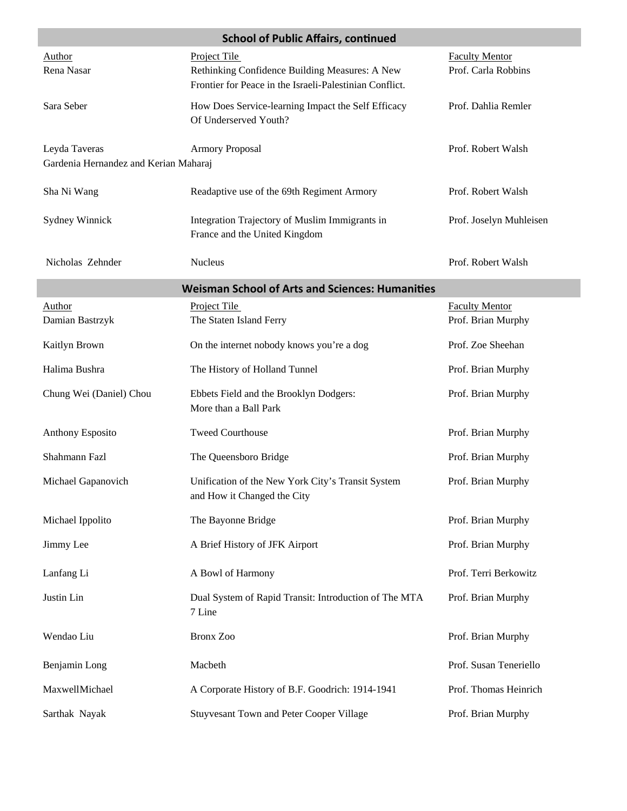| <b>School of Public Affairs, continued</b>             |                                                                                                           |                                             |  |
|--------------------------------------------------------|-----------------------------------------------------------------------------------------------------------|---------------------------------------------|--|
| Author                                                 | <b>Project Tile</b>                                                                                       | <b>Faculty Mentor</b>                       |  |
| Rena Nasar                                             | Rethinking Confidence Building Measures: A New<br>Frontier for Peace in the Israeli-Palestinian Conflict. | Prof. Carla Robbins                         |  |
| Sara Seber                                             | How Does Service-learning Impact the Self Efficacy<br>Of Underserved Youth?                               | Prof. Dahlia Remler                         |  |
| Leyda Taveras<br>Gardenia Hernandez and Kerian Maharaj | <b>Armory Proposal</b>                                                                                    | Prof. Robert Walsh                          |  |
| Sha Ni Wang                                            | Readaptive use of the 69th Regiment Armory                                                                | Prof. Robert Walsh                          |  |
| Sydney Winnick                                         | Integration Trajectory of Muslim Immigrants in<br>France and the United Kingdom                           | Prof. Joselyn Muhleisen                     |  |
| Nicholas Zehnder                                       | Nucleus                                                                                                   | Prof. Robert Walsh                          |  |
| <b>Weisman School of Arts and Sciences: Humanities</b> |                                                                                                           |                                             |  |
| <b>Author</b><br>Damian Bastrzyk                       | Project Tile<br>The Staten Island Ferry                                                                   | <b>Faculty Mentor</b><br>Prof. Brian Murphy |  |
| Kaitlyn Brown                                          | On the internet nobody knows you're a dog                                                                 | Prof. Zoe Sheehan                           |  |
| Halima Bushra                                          | The History of Holland Tunnel                                                                             | Prof. Brian Murphy                          |  |
| Chung Wei (Daniel) Chou                                | Ebbets Field and the Brooklyn Dodgers:<br>More than a Ball Park                                           | Prof. Brian Murphy                          |  |
| <b>Anthony Esposito</b>                                | <b>Tweed Courthouse</b>                                                                                   | Prof. Brian Murphy                          |  |
| Shahmann Fazl                                          | The Queensboro Bridge                                                                                     | Prof. Brian Murphy                          |  |
| Michael Gapanovich                                     | Unification of the New York City's Transit System<br>and How it Changed the City                          | Prof. Brian Murphy                          |  |
| Michael Ippolito                                       | The Bayonne Bridge                                                                                        | Prof. Brian Murphy                          |  |
| Jimmy Lee                                              | A Brief History of JFK Airport                                                                            | Prof. Brian Murphy                          |  |
| Lanfang Li                                             | A Bowl of Harmony                                                                                         | Prof. Terri Berkowitz                       |  |
| Justin Lin                                             | Dual System of Rapid Transit: Introduction of The MTA<br>7 Line                                           | Prof. Brian Murphy                          |  |
| Wendao Liu                                             | <b>Bronx Zoo</b>                                                                                          | Prof. Brian Murphy                          |  |
| Benjamin Long                                          | Macbeth                                                                                                   | Prof. Susan Teneriello                      |  |
| MaxwellMichael                                         | A Corporate History of B.F. Goodrich: 1914-1941                                                           | Prof. Thomas Heinrich                       |  |
| Sarthak Nayak                                          | <b>Stuyvesant Town and Peter Cooper Village</b>                                                           | Prof. Brian Murphy                          |  |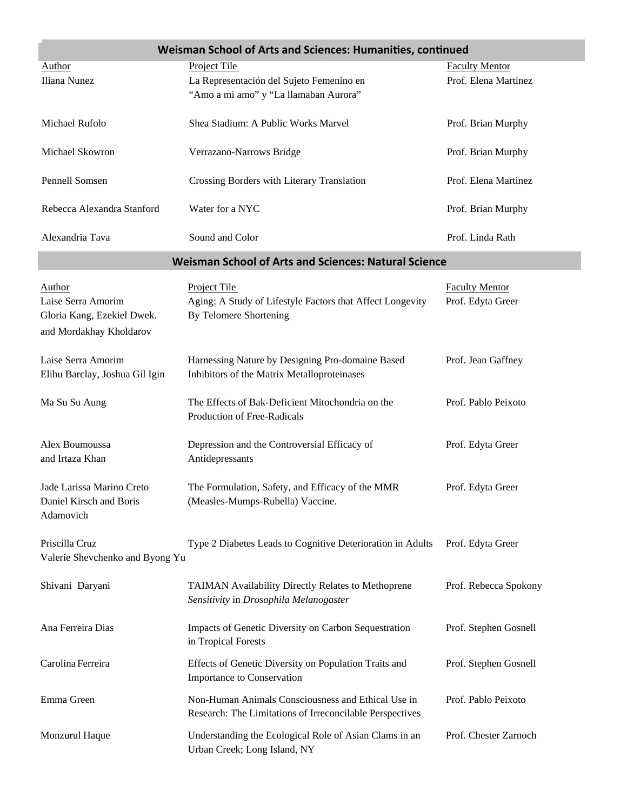| Weisman School of Arts and Sciences: Humanities, continued |                                                                                                                |                       |
|------------------------------------------------------------|----------------------------------------------------------------------------------------------------------------|-----------------------|
| <b>Author</b>                                              | Project Tile                                                                                                   | <b>Faculty Mentor</b> |
| Iliana Nunez                                               | La Representación del Sujeto Femenino en                                                                       | Prof. Elena Martínez  |
|                                                            | "Amo a mi amo" y "La llamaban Aurora"                                                                          |                       |
| Michael Rufolo                                             | Shea Stadium: A Public Works Marvel                                                                            | Prof. Brian Murphy    |
| Michael Skowron                                            | Verrazano-Narrows Bridge                                                                                       | Prof. Brian Murphy    |
| Pennell Somsen                                             | Crossing Borders with Literary Translation                                                                     | Prof. Elena Martinez  |
| Rebecca Alexandra Stanford                                 | Water for a NYC                                                                                                | Prof. Brian Murphy    |
| Alexandria Tava                                            | Sound and Color                                                                                                | Prof. Linda Rath      |
|                                                            | <b>Weisman School of Arts and Sciences: Natural Science</b>                                                    |                       |
| Author                                                     | Project Tile                                                                                                   | <b>Faculty Mentor</b> |
| Laise Serra Amorim                                         | Aging: A Study of Lifestyle Factors that Affect Longevity                                                      | Prof. Edyta Greer     |
| Gloria Kang, Ezekiel Dwek.                                 | By Telomere Shortening                                                                                         |                       |
| and Mordakhay Kholdarov                                    |                                                                                                                |                       |
| Laise Serra Amorim                                         | Harnessing Nature by Designing Pro-domaine Based                                                               | Prof. Jean Gaffney    |
| Elihu Barclay, Joshua Gil Igin                             | Inhibitors of the Matrix Metalloproteinases                                                                    |                       |
| Ma Su Su Aung                                              | The Effects of Bak-Deficient Mitochondria on the<br>Production of Free-Radicals                                | Prof. Pablo Peixoto   |
| Alex Boumoussa<br>and Irtaza Khan                          | Depression and the Controversial Efficacy of<br>Antidepressants                                                | Prof. Edyta Greer     |
|                                                            |                                                                                                                |                       |
| Jade Larissa Marino Creto<br>Daniel Kirsch and Boris       | The Formulation, Safety, and Efficacy of the MMR<br>(Measles-Mumps-Rubella) Vaccine.                           | Prof. Edyta Greer     |
| Adamovich                                                  |                                                                                                                |                       |
| Priscilla Cruz                                             | Type 2 Diabetes Leads to Cognitive Deterioration in Adults                                                     | Prof. Edyta Greer     |
| Valerie Shevchenko and Byong Yu                            |                                                                                                                |                       |
| Shivani Daryani                                            | TAIMAN Availability Directly Relates to Methoprene<br>Sensitivity in Drosophila Melanogaster                   | Prof. Rebecca Spokony |
| Ana Ferreira Dias                                          | Impacts of Genetic Diversity on Carbon Sequestration<br>in Tropical Forests                                    | Prof. Stephen Gosnell |
| Carolina Ferreira                                          | Effects of Genetic Diversity on Population Traits and<br>Importance to Conservation                            | Prof. Stephen Gosnell |
| Emma Green                                                 | Non-Human Animals Consciousness and Ethical Use in<br>Research: The Limitations of Irreconcilable Perspectives | Prof. Pablo Peixoto   |
| Monzurul Haque                                             | Understanding the Ecological Role of Asian Clams in an<br>Urban Creek; Long Island, NY                         | Prof. Chester Zarnoch |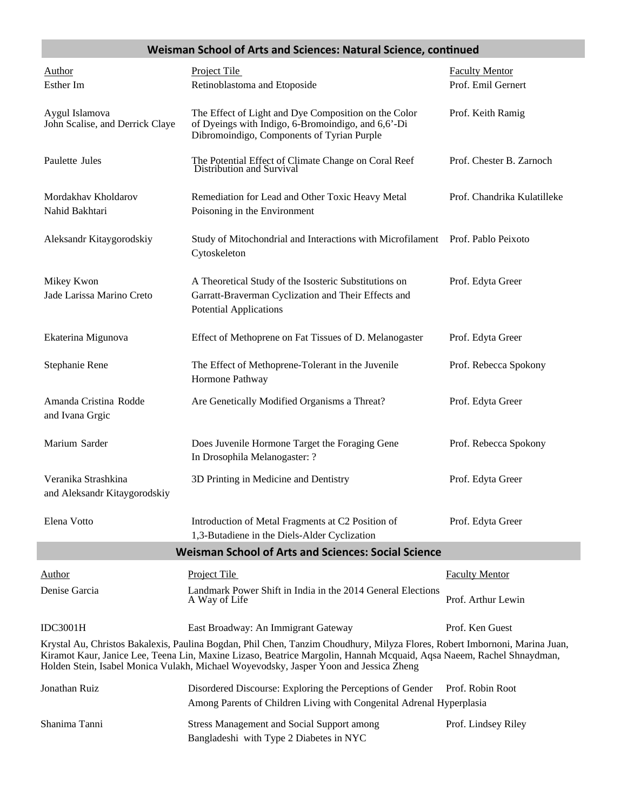#### **Weisman School of Arts and Sciences: Natural Science, conƟnued**

| <b>Author</b><br>Esther Im                                                                                                                                                                                                                                                                                                                  | Project Tile<br>Retinoblastoma and Etoposide                                                                                                             | <b>Faculty Mentor</b><br>Prof. Emil Gernert |  |
|---------------------------------------------------------------------------------------------------------------------------------------------------------------------------------------------------------------------------------------------------------------------------------------------------------------------------------------------|----------------------------------------------------------------------------------------------------------------------------------------------------------|---------------------------------------------|--|
| Aygul Islamova<br>John Scalise, and Derrick Claye                                                                                                                                                                                                                                                                                           | The Effect of Light and Dye Composition on the Color<br>of Dyeings with Indigo, 6-Bromoindigo, and 6,6'-Di<br>Dibromoindigo, Components of Tyrian Purple | Prof. Keith Ramig                           |  |
| Paulette Jules                                                                                                                                                                                                                                                                                                                              | The Potential Effect of Climate Change on Coral Reef<br>Distribution and Survival                                                                        | Prof. Chester B. Zarnoch                    |  |
| Mordakhav Kholdarov<br>Nahid Bakhtari                                                                                                                                                                                                                                                                                                       | Remediation for Lead and Other Toxic Heavy Metal<br>Poisoning in the Environment                                                                         | Prof. Chandrika Kulatilleke                 |  |
| Aleksandr Kitaygorodskiy                                                                                                                                                                                                                                                                                                                    | Study of Mitochondrial and Interactions with Microfilament Prof. Pablo Peixoto<br>Cytoskeleton                                                           |                                             |  |
| Mikey Kwon<br>Jade Larissa Marino Creto                                                                                                                                                                                                                                                                                                     | A Theoretical Study of the Isosteric Substitutions on<br>Garratt-Braverman Cyclization and Their Effects and<br><b>Potential Applications</b>            | Prof. Edyta Greer                           |  |
| Ekaterina Migunova                                                                                                                                                                                                                                                                                                                          | Effect of Methoprene on Fat Tissues of D. Melanogaster                                                                                                   | Prof. Edyta Greer                           |  |
| Stephanie Rene                                                                                                                                                                                                                                                                                                                              | The Effect of Methoprene-Tolerant in the Juvenile<br>Hormone Pathway                                                                                     | Prof. Rebecca Spokony                       |  |
| Amanda Cristina Rodde<br>and Ivana Grgic                                                                                                                                                                                                                                                                                                    | Are Genetically Modified Organisms a Threat?                                                                                                             | Prof. Edyta Greer                           |  |
| Marium Sarder                                                                                                                                                                                                                                                                                                                               | Does Juvenile Hormone Target the Foraging Gene<br>In Drosophila Melanogaster: ?                                                                          | Prof. Rebecca Spokony                       |  |
| Veranika Strashkina<br>and Aleksandr Kitaygorodskiy                                                                                                                                                                                                                                                                                         | 3D Printing in Medicine and Dentistry                                                                                                                    | Prof. Edyta Greer                           |  |
| Elena Votto                                                                                                                                                                                                                                                                                                                                 | Introduction of Metal Fragments at C2 Position of<br>1,3-Butadiene in the Diels-Alder Cyclization                                                        | Prof. Edyta Greer                           |  |
| <b>Weisman School of Arts and Sciences: Social Science</b>                                                                                                                                                                                                                                                                                  |                                                                                                                                                          |                                             |  |
| Author                                                                                                                                                                                                                                                                                                                                      | Project Tile                                                                                                                                             | <b>Faculty Mentor</b>                       |  |
| Denise Garcia                                                                                                                                                                                                                                                                                                                               | Landmark Power Shift in India in the 2014 General Elections<br>A Way of Life                                                                             | Prof. Arthur Lewin                          |  |
| <b>IDC3001H</b>                                                                                                                                                                                                                                                                                                                             | East Broadway: An Immigrant Gateway                                                                                                                      | Prof. Ken Guest                             |  |
| Krystal Au, Christos Bakalexis, Paulina Bogdan, Phil Chen, Tanzim Choudhury, Milyza Flores, Robert Imbornoni, Marina Juan,<br>Kiramot Kaur, Janice Lee, Teena Lin, Maxine Lizaso, Beatrice Margolin, Hannah Mcquaid, Aqsa Naeem, Rachel Shnaydman,<br>Holden Stein, Isabel Monica Vulakh, Michael Woyevodsky, Jasper Yoon and Jessica Zheng |                                                                                                                                                          |                                             |  |
| Jonathan Ruiz                                                                                                                                                                                                                                                                                                                               | Disordered Discourse: Exploring the Perceptions of Gender                                                                                                | Prof. Robin Root                            |  |
|                                                                                                                                                                                                                                                                                                                                             | Among Parents of Children Living with Congenital Adrenal Hyperplasia                                                                                     |                                             |  |
| Shanima Tanni                                                                                                                                                                                                                                                                                                                               | <b>Stress Management and Social Support among</b>                                                                                                        | Prof. Lindsey Riley                         |  |

Bangladeshi with Type 2 Diabetes in NYC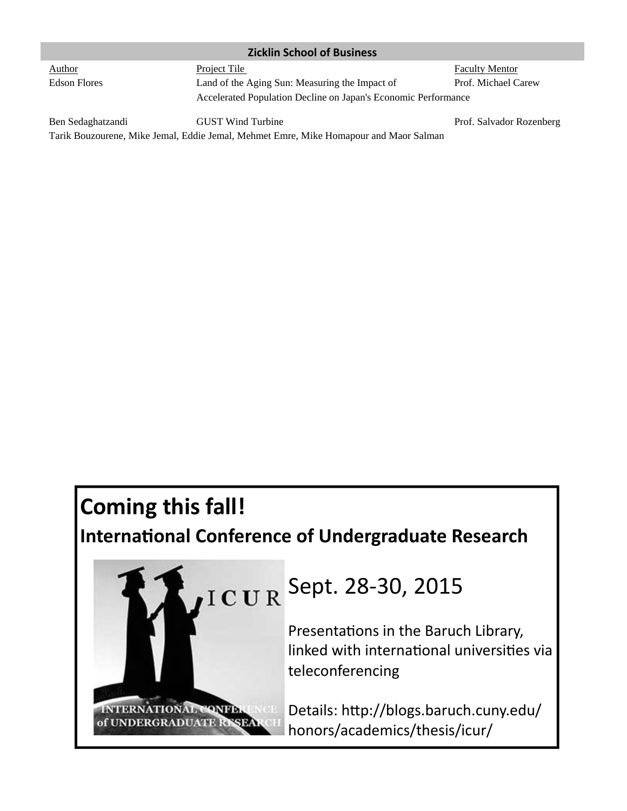| <b>Zicklin School of Business</b> |                                                                |                          |  |
|-----------------------------------|----------------------------------------------------------------|--------------------------|--|
| <b>Author</b>                     | Project Tile                                                   | <b>Faculty Mentor</b>    |  |
| <b>Edson Flores</b>               | Land of the Aging Sun: Measuring the Impact of                 | Prof. Michael Carew      |  |
|                                   | Accelerated Population Decline on Japan's Economic Performance |                          |  |
| Ben Sedaghatzandi                 | <b>GUST</b> Wind Turbine                                       | Prof. Salvador Rozenberg |  |

Tarik Bouzourene, Mike Jemal, Eddie Jemal, Mehmet Emre, Mike Homapour and Maor Salman

# **Coming this fall!**

## **InternaƟonal Conference of Undergraduate Research**